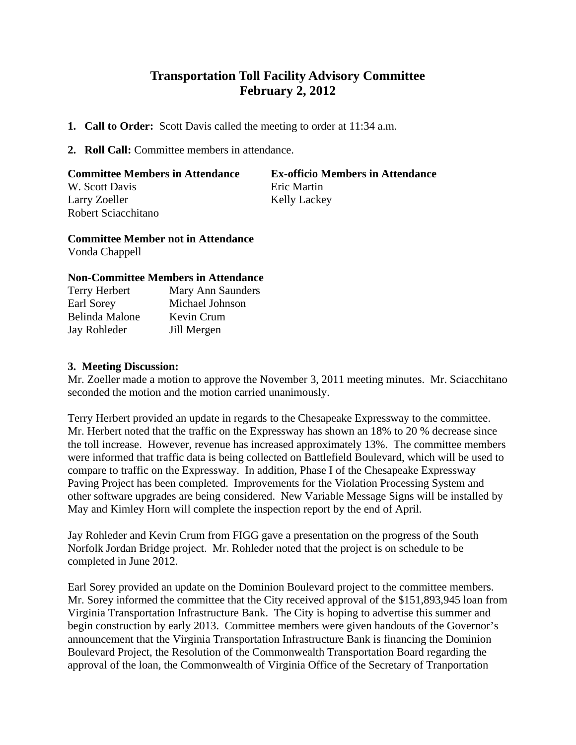# **Transportation Toll Facility Advisory Committee February 2, 2012**

- **1. Call to Order:** Scott Davis called the meeting to order at 11:34 a.m.
- **2. Roll Call:** Committee members in attendance.

### **Committee Members in Attendance Ex-officio Members in Attendance** W. Scott Davis Eric Martin Larry Zoeller Kelly Lackey Robert Sciacchitano

## **Committee Member not in Attendance**

Vonda Chappell

### **Non-Committee Members in Attendance**

| Terry Herbert  | Mary Ann Saunders |
|----------------|-------------------|
| Earl Sorey     | Michael Johnson   |
| Belinda Malone | Kevin Crum        |
| Jay Rohleder   | Jill Mergen       |

### **3. Meeting Discussion:**

Mr. Zoeller made a motion to approve the November 3, 2011 meeting minutes. Mr. Sciacchitano seconded the motion and the motion carried unanimously.

Terry Herbert provided an update in regards to the Chesapeake Expressway to the committee. Mr. Herbert noted that the traffic on the Expressway has shown an 18% to 20 % decrease since the toll increase. However, revenue has increased approximately 13%. The committee members were informed that traffic data is being collected on Battlefield Boulevard, which will be used to compare to traffic on the Expressway. In addition, Phase I of the Chesapeake Expressway Paving Project has been completed. Improvements for the Violation Processing System and other software upgrades are being considered. New Variable Message Signs will be installed by May and Kimley Horn will complete the inspection report by the end of April.

Jay Rohleder and Kevin Crum from FIGG gave a presentation on the progress of the South Norfolk Jordan Bridge project. Mr. Rohleder noted that the project is on schedule to be completed in June 2012.

Earl Sorey provided an update on the Dominion Boulevard project to the committee members. Mr. Sorey informed the committee that the City received approval of the \$151,893,945 loan from Virginia Transportation Infrastructure Bank. The City is hoping to advertise this summer and begin construction by early 2013. Committee members were given handouts of the Governor's announcement that the Virginia Transportation Infrastructure Bank is financing the Dominion Boulevard Project, the Resolution of the Commonwealth Transportation Board regarding the approval of the loan, the Commonwealth of Virginia Office of the Secretary of Tranportation